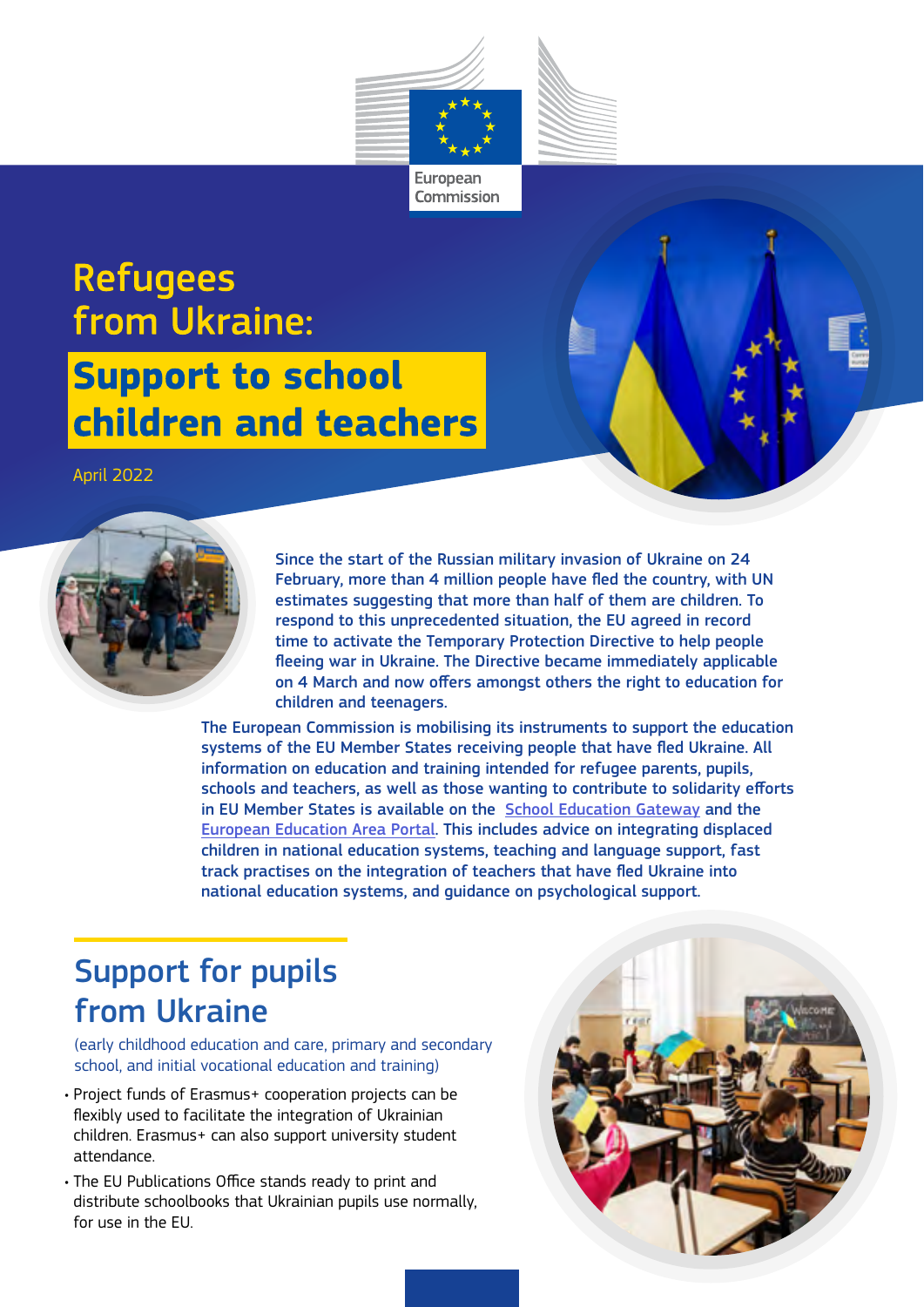

## **Refugees** from Ukraine: **Support to school** children and teachers

April 2022



Since the start of the Russian military invasion of Ukraine on 24 February, more than 4 million people have fled the country, with UN estimates suggesting that more than half of them are children. To respond to this unprecedented situation, the EU agreed in record time to activate the Temporary Protection Directive to help people fleeing war in Ukraine. The Directive became immediately applicable on 4 March and now offers amongst others the right to education for children and teenagers.

The European Commission is mobilising its instruments to support the education systems of the EU Member States receiving people that have fled Ukraine. All information on education and training intended for refugee parents, pupils, schools and teachers, as well as those wanting to contribute to solidarity efforts in EU Member States is available on the [School Education Gateway](https://www.schooleducationgateway.eu/en/pub/index.htm) and the [European Education Area Portal](https://education.ec.europa.eu). This includes advice on integrating displaced children in national education systems, teaching and language support, fast track practises on the integration of teachers that have fled Ukraine into national education systems, and guidance on psychological support.

## Support for pupils from Ukraine

(early childhood education and care, primary and secondary school, and initial vocational education and training)

- Project funds of Erasmus+ cooperation projects can be flexibly used to facilitate the integration of Ukrainian children. Erasmus+ can also support university student attendance.
- The EU Publications Office stands ready to print and distribute schoolbooks that Ukrainian pupils use normally, for use in the EU.

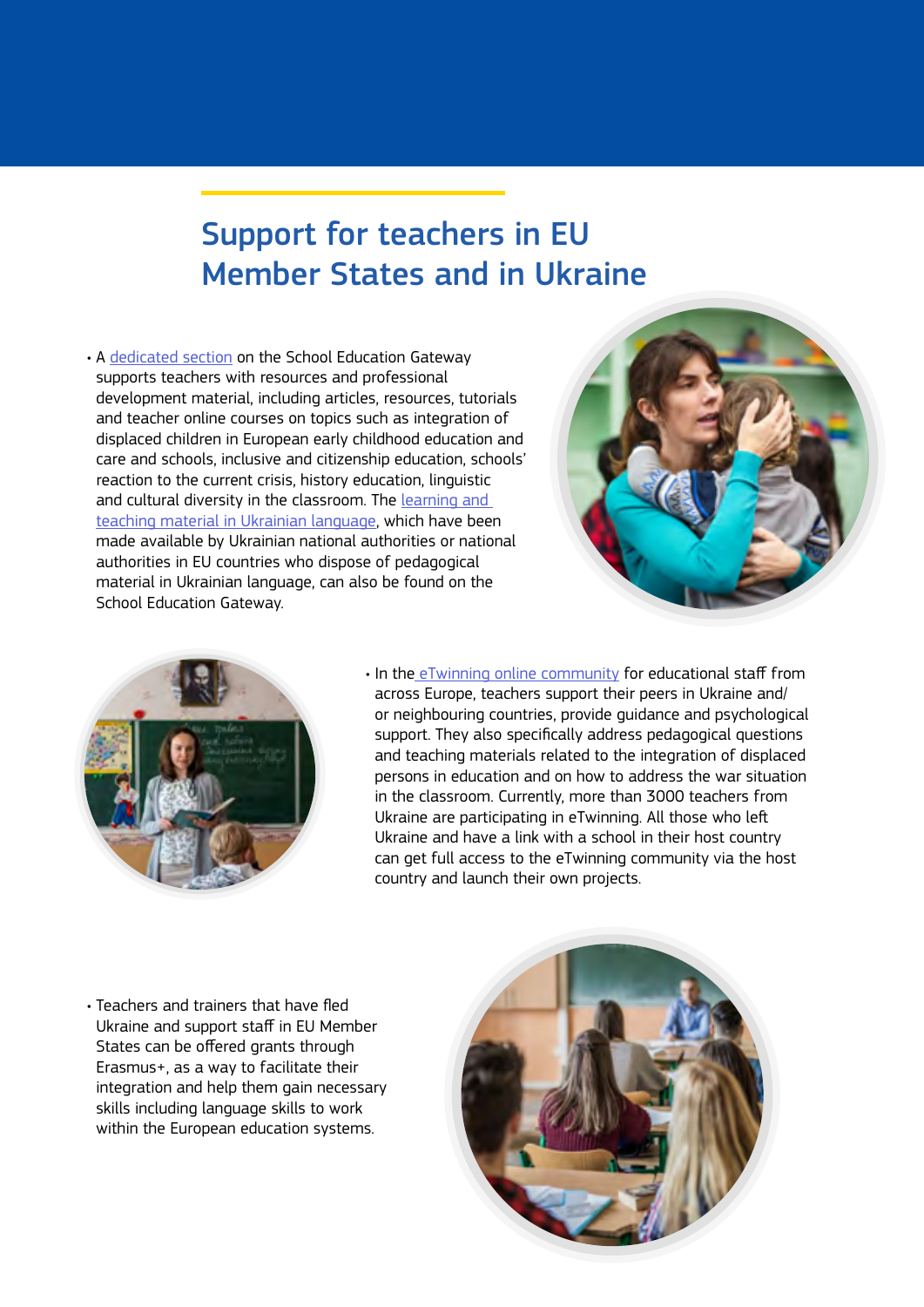## Support for teachers in EU Member States and in Ukraine

• A [dedicated section](https://www.schooleducationgateway.eu/en/pub/latest/news/education-support-ua-refugees.htm) on the School Education Gateway supports teachers with resources and professional development material, including articles, resources, tutorials and teacher online courses on topics such as integration of displaced children in European early childhood education and care and schools, inclusive and citizenship education, schools' reaction to the current crisis, history education, linguistic and cultural diversity in the classroom. The [learning and](https://www.schooleducationgateway.eu/en/pub/latest/news/online-ed-resources-ua.htm)  [teaching material in Ukrainian language](https://www.schooleducationgateway.eu/en/pub/latest/news/online-ed-resources-ua.htm), which have been made available by Ukrainian national authorities or national authorities in EU countries who dispose of pedagogical material in Ukrainian language, can also be found on the School Education Gateway.





• In th[e eTwinning online community](https://www.etwinning.net/en/pub/newsroom/highlights/-etwinning-supports-ukrainian-.htm) for educational staff from across Europe, teachers support their peers in Ukraine and/ or neighbouring countries, provide guidance and psychological support. They also specifically address pedagogical questions and teaching materials related to the integration of displaced persons in education and on how to address the war situation in the classroom. Currently, more than 3000 teachers from Ukraine are participating in eTwinning. All those who left Ukraine and have a link with a school in their host country can get full access to the eTwinning community via the host country and launch their own projects.

• Teachers and trainers that have fled Ukraine and support staff in EU Member States can be offered grants through Erasmus+, as a way to facilitate their integration and help them gain necessary skills including language skills to work within the European education systems.